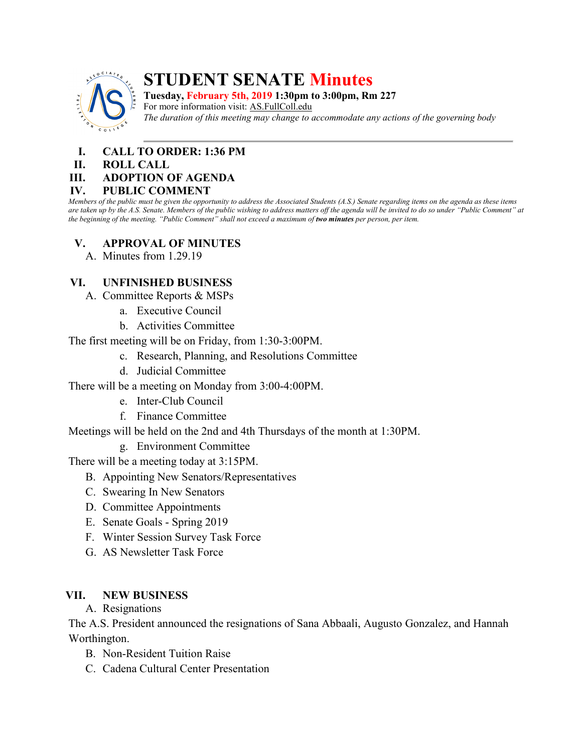

# **STUDENT SENATE Minutes**

**Tuesday, February 5th, 2019 1:30pm to 3:00pm, Rm 227** For more information visit: AS.FullColl.edu *The duration of this meeting may change to accommodate any actions of the governing body*

- **I. CALL TO ORDER: 1:36 PM**
- **II. ROLL CALL**

### **III. ADOPTION OF AGENDA**

#### **IV. PUBLIC COMMENT**

*Members of the public must be given the opportunity to address the Associated Students (A.S.) Senate regarding items on the agenda as these items are taken up by the A.S. Senate. Members of the public wishing to address matters off the agenda will be invited to do so under "Public Comment" at the beginning of the meeting. "Public Comment" shall not exceed a maximum of two minutes per person, per item.*

# **V. APPROVAL OF MINUTES**

A. Minutes from 1.29.19

# **VI. UNFINISHED BUSINESS**

- A. Committee Reports & MSPs
	- a. Executive Council
	- b. Activities Committee

The first meeting will be on Friday, from 1:30-3:00PM.

- c. Research, Planning, and Resolutions Committee
- d. Judicial Committee
- There will be a meeting on Monday from 3:00-4:00PM.
	- e. Inter-Club Council
	- f. Finance Committee

Meetings will be held on the 2nd and 4th Thursdays of the month at 1:30PM.

g. Environment Committee

There will be a meeting today at 3:15PM.

- B. Appointing New Senators/Representatives
- C. Swearing In New Senators
- D. Committee Appointments
- E. Senate Goals Spring 2019
- F. Winter Session Survey Task Force
- G. AS Newsletter Task Force

# **VII. NEW BUSINESS**

A. Resignations

The A.S. President announced the resignations of Sana Abbaali, Augusto Gonzalez, and Hannah Worthington.

- B. Non-Resident Tuition Raise
- C. Cadena Cultural Center Presentation